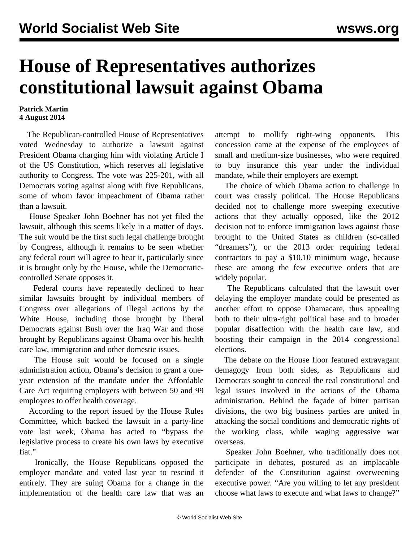## **House of Representatives authorizes constitutional lawsuit against Obama**

## **Patrick Martin 4 August 2014**

 The Republican-controlled House of Representatives voted Wednesday to authorize a lawsuit against President Obama charging him with violating Article I of the US Constitution, which reserves all legislative authority to Congress. The vote was 225-201, with all Democrats voting against along with five Republicans, some of whom favor impeachment of Obama rather than a lawsuit.

 House Speaker John Boehner has not yet filed the lawsuit, although this seems likely in a matter of days. The suit would be the first such legal challenge brought by Congress, although it remains to be seen whether any federal court will agree to hear it, particularly since it is brought only by the House, while the Democraticcontrolled Senate opposes it.

 Federal courts have repeatedly declined to hear similar lawsuits brought by individual members of Congress over allegations of illegal actions by the White House, including those brought by liberal Democrats against Bush over the Iraq War and those brought by Republicans against Obama over his health care law, immigration and other domestic issues.

 The House suit would be focused on a single administration action, Obama's decision to grant a oneyear extension of the mandate under the Affordable Care Act requiring employers with between 50 and 99 employees to offer health coverage.

 According to the report issued by the House Rules Committee, which backed the lawsuit in a party-line vote last week, Obama has acted to "bypass the legislative process to create his own laws by executive fiat."

 Ironically, the House Republicans opposed the employer mandate and voted last year to rescind it entirely. They are suing Obama for a change in the implementation of the health care law that was an attempt to mollify right-wing opponents. This concession came at the expense of the employees of small and medium-size businesses, who were required to buy insurance this year under the individual mandate, while their employers are exempt.

 The choice of which Obama action to challenge in court was crassly political. The House Republicans decided not to challenge more sweeping executive actions that they actually opposed, like the 2012 decision not to enforce immigration laws against those brought to the United States as children (so-called "dreamers"), or the 2013 order requiring federal contractors to pay a \$10.10 minimum wage, because these are among the few executive orders that are widely popular.

 The Republicans calculated that the lawsuit over delaying the employer mandate could be presented as another effort to oppose Obamacare, thus appealing both to their ultra-right political base and to broader popular disaffection with the health care law, and boosting their campaign in the 2014 congressional elections.

 The debate on the House floor featured extravagant demagogy from both sides, as Republicans and Democrats sought to conceal the real constitutional and legal issues involved in the actions of the Obama administration. Behind the façade of bitter partisan divisions, the two big business parties are united in attacking the social conditions and democratic rights of the working class, while waging aggressive war overseas.

 Speaker John Boehner, who traditionally does not participate in debates, postured as an implacable defender of the Constitution against overweening executive power. "Are you willing to let any president choose what laws to execute and what laws to change?"